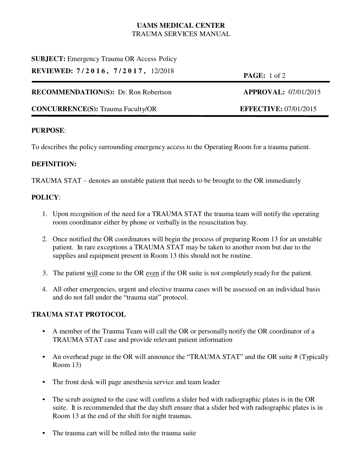# **UAMS MEDICAL CENTER** TRAUMA SERVICES MANUAL

# **SUBJECT:** Emergency Trauma OR Access Policy

**REVIEWED: 7 / 2 0 1 6 , 7 / 2 0 1 7 ,** 12/2018 **PAGE:** 1 of 2

# **RECOMMENDATION(S):** Dr. Ron Robertson **APPROVAL:** 07/01/2015

# **CONCURRENCE(S):** Trauma Faculty/OR **EFFECTIVE:** 07/01/2015

### **PURPOSE**:

To describes the policy surrounding emergency access to the Operating Room for a trauma patient.

# **DEFINITION:**

TRAUMA STAT – denotes an unstable patient that needs to be brought to the OR immediately

# **POLICY**:

- 1. Upon recognition of the need for a TRAUMA STAT the trauma team will notify the operating room coordinator either by phone or verbally in the resuscitation bay.
- 2. Once notified the OR coordinators will begin the process of preparing Room 13 for an unstable patient. In rare exceptions a TRAUMA STAT may be taken to another room but due to the supplies and equipment present in Room 13 this should not be routine.
- 3. The patient will come to the OR even if the OR suite is not completely ready for the patient.
- 4. All other emergencies, urgent and elective trauma cases will be assessed on an individual basis and do not fall under the "trauma stat" protocol.

### **TRAUMA STAT PROTOCOL**

- A member of the Trauma Team will call the OR or personally notify the OR coordinator of a TRAUMA STAT case and provide relevant patient information
- An overhead page in the OR will announce the "TRAUMA STAT" and the OR suite # (Typically Room 13)
- The front desk will page anesthesia service and team leader
- The scrub assigned to the case will confirm a slider bed with radiographic plates is in the OR suite. It is recommended that the day shift ensure that a slider bed with radiographic plates is in Room 13 at the end of the shift for night traumas.
- The trauma cart will be rolled into the trauma suite